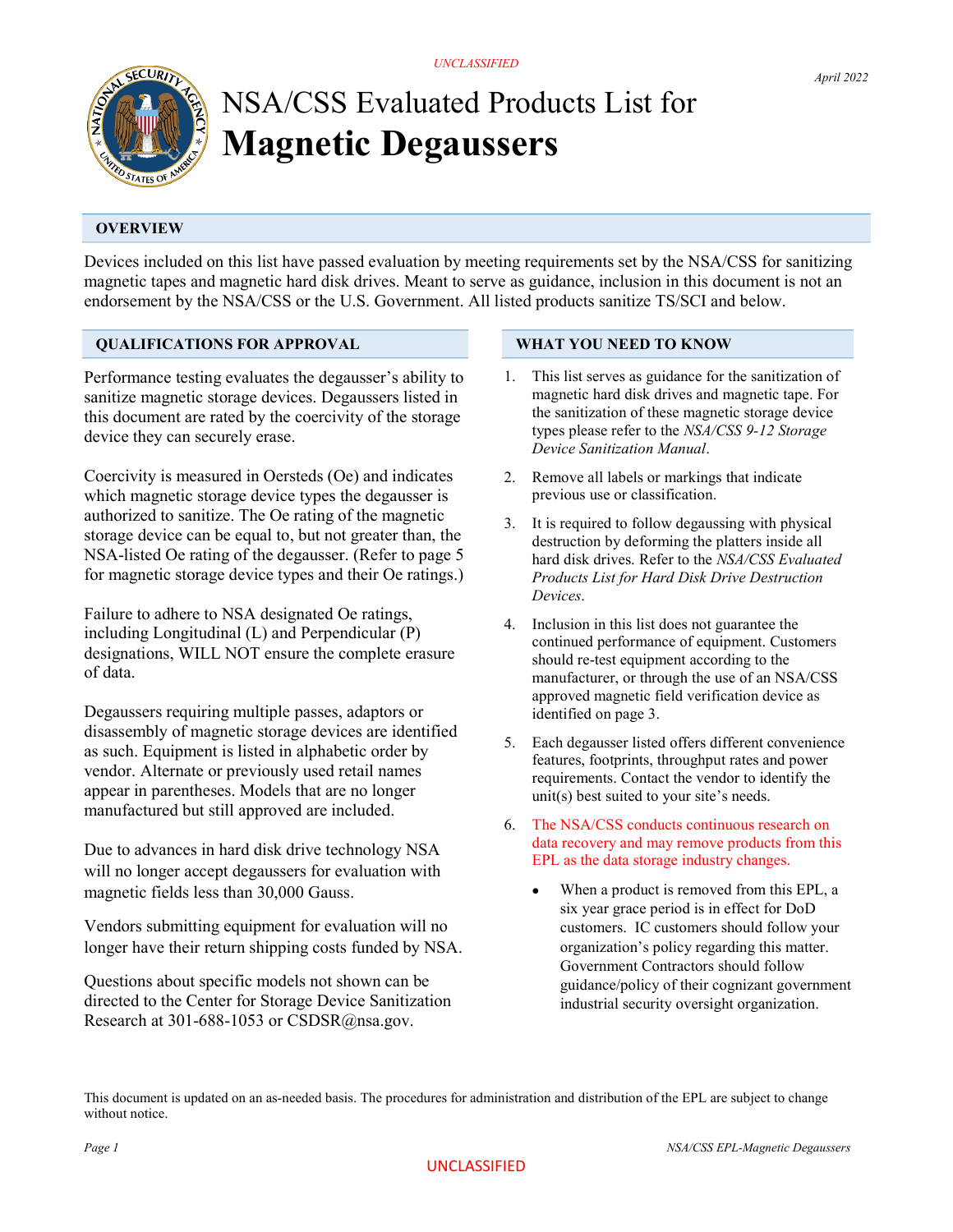

# NSA/CSS Evaluated Products List for Magnetic Degaussers

# **OVERVIEW**

Devices included on this list have passed evaluation by meeting requirements set by the NSA/CSS for sanitizing magnetic tapes and magnetic hard disk drives. Meant to serve as guidance, inclusion in this document is not an endorsement by the NSA/CSS or the U.S. Government. All listed products sanitize TS/SCI and below.

### QUALIFICATIONS FOR APPROVAL

Performance testing evaluates the degausser's ability to sanitize magnetic storage devices. Degaussers listed in this document are rated by the coercivity of the storage device they can securely erase.

Coercivity is measured in Oersteds (Oe) and indicates which magnetic storage device types the degausser is authorized to sanitize. The Oe rating of the magnetic storage device can be equal to, but not greater than, the NSA-listed Oe rating of the degausser. (Refer to page 5 for magnetic storage device types and their Oe ratings.)

Failure to adhere to NSA designated Oe ratings, including Longitudinal (L) and Perpendicular (P) designations, WILL NOT ensure the complete erasure of data.

Degaussers requiring multiple passes, adaptors or disassembly of magnetic storage devices are identified as such. Equipment is listed in alphabetic order by vendor. Alternate or previously used retail names appear in parentheses. Models that are no longer manufactured but still approved are included.

Due to advances in hard disk drive technology NSA will no longer accept degaussers for evaluation with magnetic fields less than 30,000 Gauss.

Vendors submitting equipment for evaluation will no longer have their return shipping costs funded by NSA.

Questions about specific models not shown can be directed to the Center for Storage Device Sanitization Research at 301-688-1053 or CSDSR@nsa.gov.

#### WHAT YOU NEED TO KNOW

- 1. This list serves as guidance for the sanitization of magnetic hard disk drives and magnetic tape. For the sanitization of these magnetic storage device types please refer to the NSA/CSS 9-12 Storage Device Sanitization Manual.
- 2. Remove all labels or markings that indicate previous use or classification.
- 3. It is required to follow degaussing with physical destruction by deforming the platters inside all hard disk drives. Refer to the NSA/CSS Evaluated Products List for Hard Disk Drive Destruction Devices.
- 4. Inclusion in this list does not guarantee the continued performance of equipment. Customers should re-test equipment according to the manufacturer, or through the use of an NSA/CSS approved magnetic field verification device as identified on page 3.
- 5. Each degausser listed offers different convenience features, footprints, throughput rates and power requirements. Contact the vendor to identify the unit(s) best suited to your site's needs.
- 6. The NSA/CSS conducts continuous research on data recovery and may remove products from this EPL as the data storage industry changes.
	- When a product is removed from this EPL, a six year grace period is in effect for DoD customers. IC customers should follow your organization's policy regarding this matter. Government Contractors should follow guidance/policy of their cognizant government industrial security oversight organization.

This document is updated on an as-needed basis. The procedures for administration and distribution of the EPL are subject to change without notice.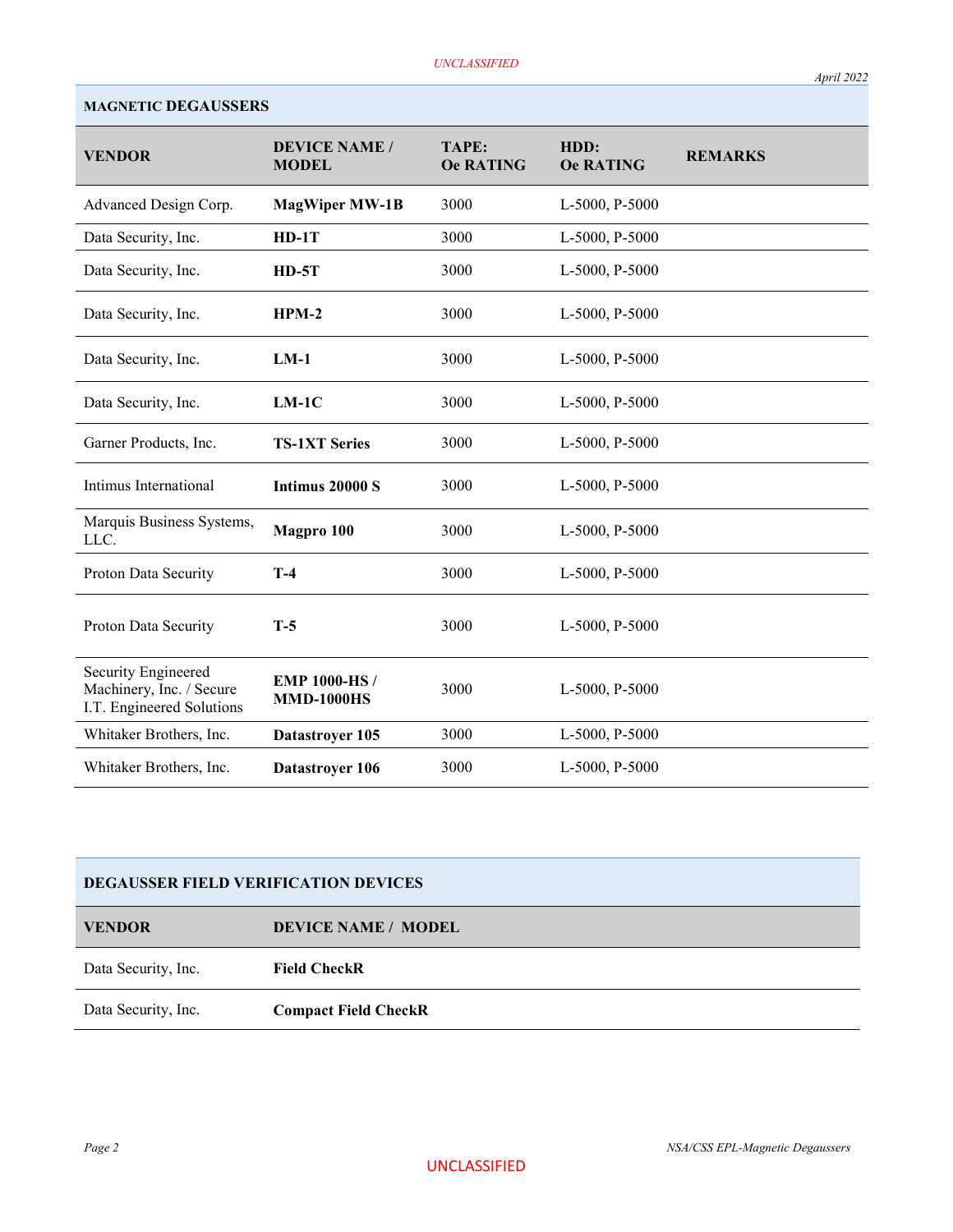| <b>VENDOR</b>                                                                | <b>DEVICE NAME /</b><br><b>MODEL</b>     | TAPE:<br><b>Oe RATING</b> | HDD:<br><b>Oe RATING</b> | <b>REMARKS</b> |
|------------------------------------------------------------------------------|------------------------------------------|---------------------------|--------------------------|----------------|
| Advanced Design Corp.                                                        | <b>MagWiper MW-1B</b>                    | 3000                      | L-5000, P-5000           |                |
| Data Security, Inc.                                                          | $HD-1T$                                  | 3000                      | L-5000, P-5000           |                |
| Data Security, Inc.                                                          | $HD-5T$                                  | 3000                      | L-5000, P-5000           |                |
| Data Security, Inc.                                                          | $HPM-2$                                  | 3000                      | L-5000, P-5000           |                |
| Data Security, Inc.                                                          | $LM-1$                                   | 3000                      | L-5000, P-5000           |                |
| Data Security, Inc.                                                          | $LM-1C$                                  | 3000                      | L-5000, P-5000           |                |
| Garner Products, Inc.                                                        | <b>TS-1XT Series</b>                     | 3000                      | L-5000, P-5000           |                |
| Intimus International                                                        | Intimus 20000 S                          | 3000                      | L-5000, P-5000           |                |
| Marquis Business Systems,<br>LLC.                                            | Magpro 100                               | 3000                      | L-5000, P-5000           |                |
| Proton Data Security                                                         | $T-4$                                    | 3000                      | L-5000, P-5000           |                |
| Proton Data Security                                                         | $T-5$                                    | 3000                      | L-5000, P-5000           |                |
| Security Engineered<br>Machinery, Inc. / Secure<br>I.T. Engineered Solutions | <b>EMP 1000-HS/</b><br><b>MMD-1000HS</b> | 3000                      | L-5000, P-5000           |                |
| Whitaker Brothers, Inc.                                                      | Datastroyer 105                          | 3000                      | L-5000, P-5000           |                |
| Whitaker Brothers, Inc.                                                      | Datastroyer 106                          | 3000                      | L-5000, P-5000           |                |

## MAGNETIC DEGAUSSERS

| <b>VENDOR</b>       | <b>DEVICE NAME / MODEL</b>  |
|---------------------|-----------------------------|
| Data Security, Inc. | <b>Field CheckR</b>         |
| Data Security, Inc. | <b>Compact Field CheckR</b> |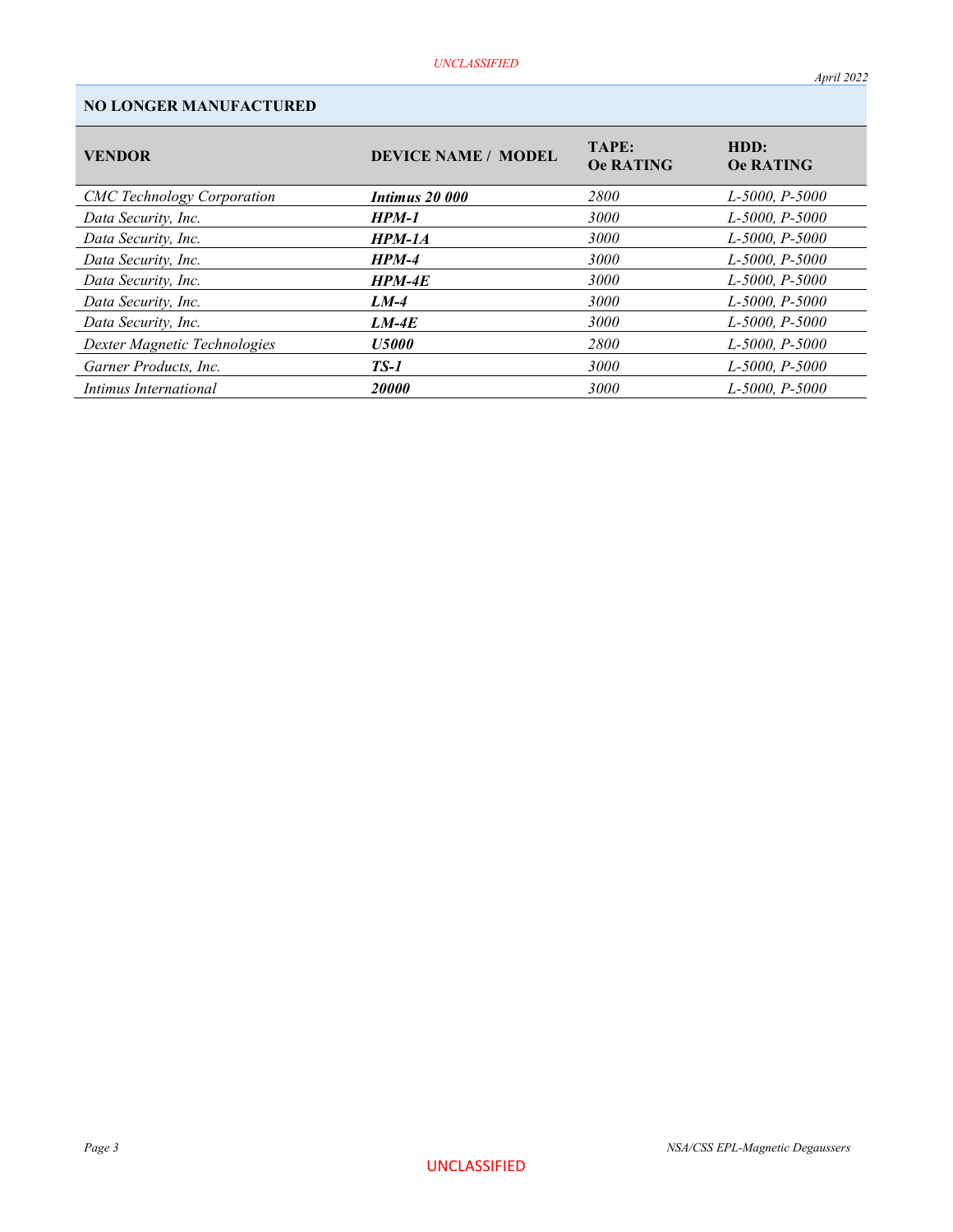# NO LONGER MANUFACTURED

| <b>VENDOR</b>                     | <b>DEVICE NAME / MODEL</b> | <b>TAPE:</b><br><b>Oe RATING</b> | HDD:<br><b>Oe RATING</b> |
|-----------------------------------|----------------------------|----------------------------------|--------------------------|
| <b>CMC</b> Technology Corporation | Intimus 20 000             | 2800                             | L-5000, P-5000           |
| Data Security, Inc.               | <b>HPM-1</b>               | 3000                             | $L$ -5000, P-5000        |
| Data Security, Inc.               | $HPM-1A$                   | 3000                             | $L$ -5000, P-5000        |
| Data Security, Inc.               | $HPM-4$                    | 3000                             | $L$ -5000, P-5000        |
| Data Security, Inc.               | $HPM-4E$                   | 3000                             | $L$ -5000, P-5000        |
| Data Security, Inc.               | $LM-4$                     | 3000                             | $L$ -5000, P-5000        |
| Data Security, Inc.               | $LM-4E$                    | 3000                             | $L$ -5000, P-5000        |
| Dexter Magnetic Technologies      | <b>U5000</b>               | 2800                             | $L$ -5000, P-5000        |
| Garner Products, Inc.             | $TS-1$                     | 3000                             | $L$ -5000, P-5000        |
| Intimus International             | 20000                      | 3000                             | L-5000, P-5000           |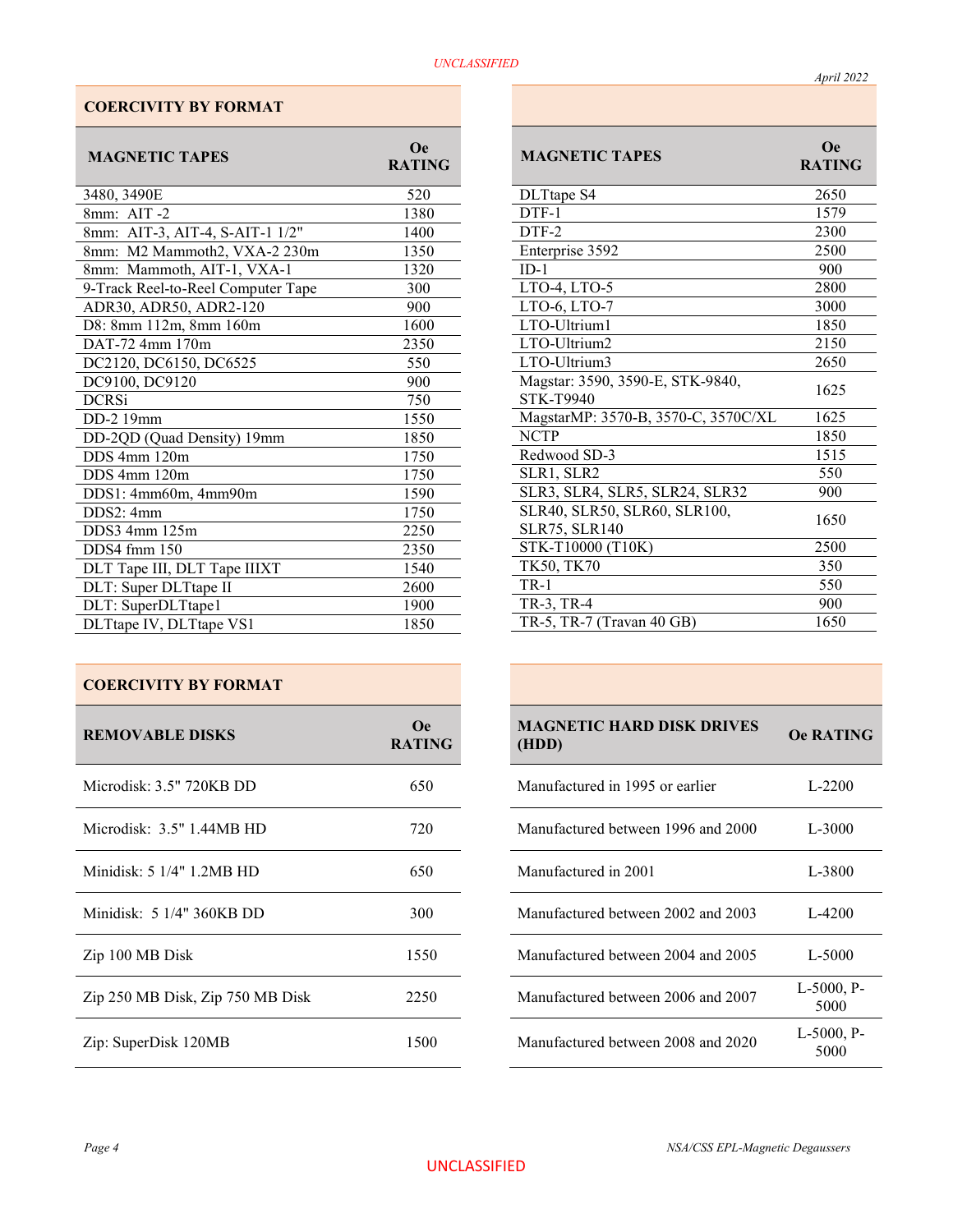# COERCIVITY BY FORMAT

| <b>MAGNETIC TAPES</b>              | <b>Oe</b><br><b>RATING</b> |
|------------------------------------|----------------------------|
| 3480, 3490E                        | 520                        |
| 8mm: AIT -2                        | 1380                       |
| 8mm: AIT-3, AIT-4, S-AIT-1 1/2"    | 1400                       |
| 8mm: M2 Mammoth2, VXA-2 230m       | 1350                       |
| 8mm: Mammoth, AIT-1, VXA-1         | 1320                       |
| 9-Track Reel-to-Reel Computer Tape | 300                        |
| ADR30, ADR50, ADR2-120             | 900                        |
| D8: 8mm 112m, 8mm 160m             | 1600                       |
| DAT-72 4mm 170m                    | 2350                       |
| DC2120, DC6150, DC6525             | 550                        |
| DC9100, DC9120                     | 900                        |
| <b>DCRSi</b>                       | 750                        |
| DD-2 19mm                          | 1550                       |
| DD-2QD (Quad Density) 19mm         | 1850                       |
| $DDS$ 4mm $120m$                   | 1750                       |
| $DDS$ 4mm $120m$                   | 1750                       |
| DDS1: 4mm60m, 4mm90m               | 1590                       |
| DDS2: 4mm                          | 1750                       |
| DDS3 4mm 125m                      | 2250                       |
| DDS4 fmm 150                       | 2350                       |
| DLT Tape III, DLT Tape IIIXT       | 1540                       |
| DLT: Super DLTtape II              | 2600                       |
| DLT: SuperDLTtape1                 | 1900                       |
| DLTtape IV, DLTtape VS1            | 1850                       |

| <b>REMOVABLE DISKS</b>           | Oe.<br><b>RATING</b> | <b>MAGNETIC HARD DISK DRIVES</b><br>(HDD) | <b>Oe RATIN</b>       |
|----------------------------------|----------------------|-------------------------------------------|-----------------------|
| Microdisk: 3.5" 720KB DD         | 650                  | Manufactured in 1995 or earlier           | $L-2200$              |
| Microdisk: $3.5"$ 1.44MB HD      | 720                  | Manufactured between 1996 and 2000        | $L-3000$              |
| Minidisk: 5 1/4" 1.2MB HD        | 650                  | Manufactured in 2001                      | L-3800                |
| Minidisk: 5 1/4" 360KB DD        | 300                  | Manufactured between 2002 and 2003        | L-4200                |
| Zip 100 MB Disk                  | 1550                 | Manufactured between 2004 and 2005        | L-5000                |
| Zip 250 MB Disk, Zip 750 MB Disk | 2250                 | Manufactured between 2006 and 2007        | $L-5000$ , P-<br>5000 |
| Zip: SuperDisk 120MB             | 1500                 | Manufactured between 2008 and 2020        | $L-5000$ , P-<br>5000 |

| <b>MAGNETIC TAPES</b>                                | <b>O</b> e<br><b>RATING</b> |
|------------------------------------------------------|-----------------------------|
| DLTtape S4                                           | 2650                        |
| DTF-1                                                | 1579                        |
| DTF-2                                                | 2300                        |
| Enterprise 3592                                      | 2500                        |
| $ID-1$                                               | 900                         |
| LTO-4, LTO-5                                         | 2800                        |
| LTO-6, LTO-7                                         | 3000                        |
| LTO-Ultrium1                                         | 1850                        |
| LTO-Ultrium2                                         | 2150                        |
| LTO-Ultrium3                                         | 2650                        |
| Magstar: 3590, 3590-E, STK-9840,<br><b>STK-T9940</b> | 1625                        |
| MagstarMP: 3570-B, 3570-C, 3570C/XL                  | 1625                        |
| <b>NCTP</b>                                          | 1850                        |
| Redwood SD-3                                         | 1515                        |
| SLR1, SLR2                                           | 550                         |
| SLR3, SLR4, SLR5, SLR24, SLR32                       | 900                         |
| SLR40, SLR50, SLR60, SLR100,<br><b>SLR75, SLR140</b> | 1650                        |
| STK-T10000 (T10K)                                    | 2500                        |
| TK50, TK70                                           | 350                         |
| <b>TR-1</b>                                          | 550                         |
| TR-3, TR-4                                           | 900                         |
| TR-5, TR-7 (Travan 40 GB)                            | 1650                        |

| <b>MAGNETIC HARD DISK DRIVES</b><br>(HDD) | <b>Oe RATING</b>   |
|-------------------------------------------|--------------------|
| Manufactured in 1995 or earlier           | L-2200             |
| Manufactured between 1996 and 2000        | L-3000             |
| Manufactured in 2001                      | L-3800             |
| Manufactured between 2002 and 2003        | $L-4200$           |
| Manufactured between 2004 and 2005        | $L - 5000$         |
| Manufactured between 2006 and 2007        | L-5000, P-<br>5000 |
| Manufactured between 2008 and 2020        | L-5000, P-<br>5000 |